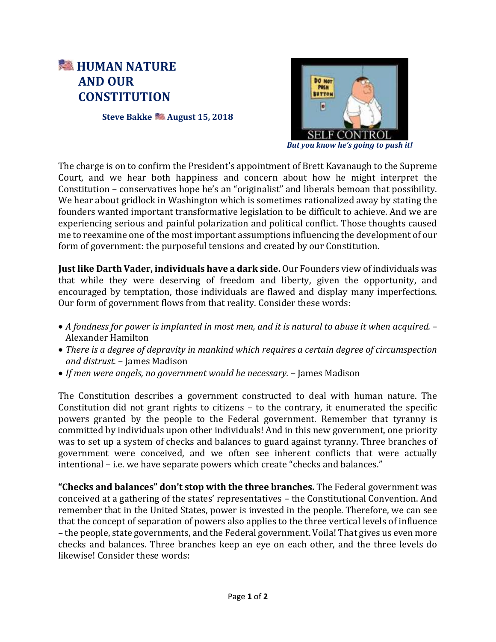## **HUMAN NATURE AND OUR CONSTITUTION**

**Steve Bakke August 15, 2018**



*But you know he's going to push it!*

The charge is on to confirm the President's appointment of Brett Kavanaugh to the Supreme Court, and we hear both happiness and concern about how he might interpret the Constitution – conservatives hope he's an "originalist" and liberals bemoan that possibility. We hear about gridlock in Washington which is sometimes rationalized away by stating the founders wanted important transformative legislation to be difficult to achieve. And we are experiencing serious and painful polarization and political conflict. Those thoughts caused me to reexamine one of the most important assumptions influencing the development of our form of government: the purposeful tensions and created by our Constitution.

**Just like Darth Vader, individuals have a dark side.** Our Founders view of individuals was that while they were deserving of freedom and liberty, given the opportunity, and encouraged by temptation, those individuals are flawed and display many imperfections. Our form of government flows from that reality. Consider these words:

- *A fondness for power is implanted in most men, and it is natural to abuse it when acquired.* Alexander Hamilton
- *There is a degree of depravity in mankind which requires a certain degree of circumspection and distrust.* – James Madison
- *If men were angels, no government would be necessary.* James Madison

The Constitution describes a government constructed to deal with human nature. The Constitution did not grant rights to citizens – to the contrary, it enumerated the specific powers granted by the people to the Federal government. Remember that tyranny is committed by individuals upon other individuals! And in this new government, one priority was to set up a system of checks and balances to guard against tyranny. Three branches of government were conceived, and we often see inherent conflicts that were actually intentional – i.e. we have separate powers which create "checks and balances."

**"Checks and balances" don't stop with the three branches.** The Federal government was conceived at a gathering of the states' representatives – the Constitutional Convention. And remember that in the United States, power is invested in the people. Therefore, we can see that the concept of separation of powers also applies to the three vertical levels of influence – the people, state governments, and the Federal government. Voila! That gives us even more checks and balances. Three branches keep an eye on each other, and the three levels do likewise! Consider these words: